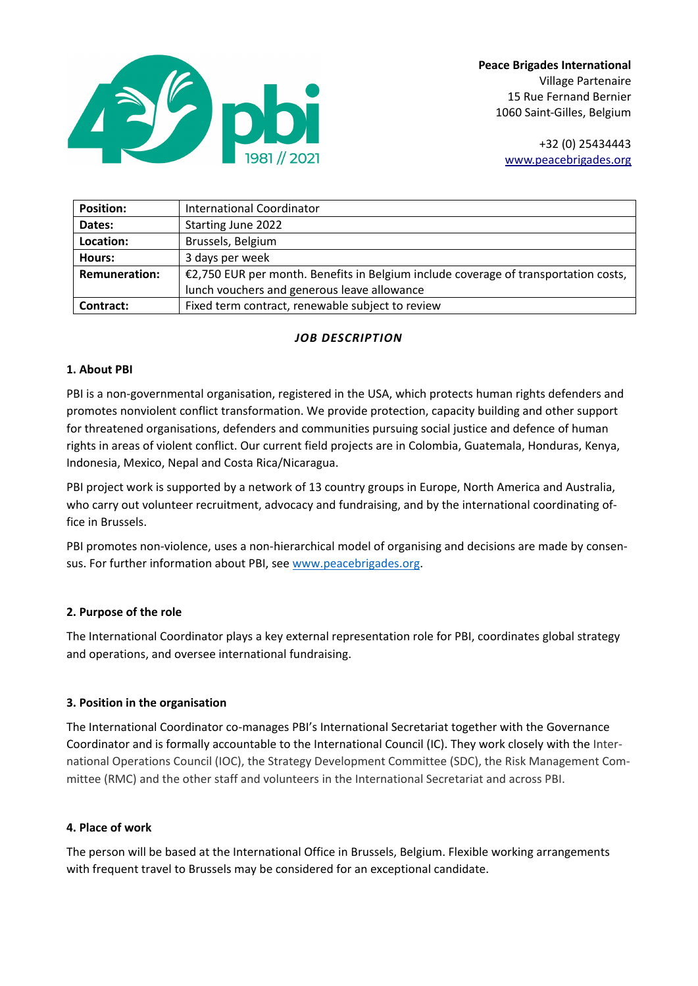

**Peace Brigades International** Village Partenaire 15 Rue Fernand Bernier 1060 Saint-Gilles, Belgium

> +32 (0) 25434443 [www.peacebrigades.org](http://www.peacebrigades.org/)

| <b>Position:</b>     | International Coordinator                                                           |
|----------------------|-------------------------------------------------------------------------------------|
| Dates:               | Starting June 2022                                                                  |
| Location:            | Brussels, Belgium                                                                   |
| Hours:               | 3 days per week                                                                     |
| <b>Remuneration:</b> | €2,750 EUR per month. Benefits in Belgium include coverage of transportation costs, |
|                      | lunch vouchers and generous leave allowance                                         |
| Contract:            | Fixed term contract, renewable subject to review                                    |

# *JOB DESCRIPTION*

### **1. About PBI**

PBI is a non-governmental organisation, registered in the USA, which protects human rights defenders and promotes nonviolent conflict transformation. We provide protection, capacity building and other support for threatened organisations, defenders and communities pursuing social justice and defence of human rights in areas of violent conflict. Our current field projects are in Colombia, Guatemala, Honduras, Kenya, Indonesia, Mexico, Nepal and Costa Rica/Nicaragua.

PBI project work is supported by a network of 13 country groups in Europe, North America and Australia, who carry out volunteer recruitment, advocacy and fundraising, and by the international coordinating office in Brussels.

PBI promotes non-violence, uses a non-hierarchical model of organising and decisions are made by consensus. For further information about PBI, se[e www.peacebrigades.org.](http://www.peacebrigades.org/)

### **2. Purpose of the role**

The International Coordinator plays a key external representation role for PBI, coordinates global strategy and operations, and oversee international fundraising.

### **3. Position in the organisation**

The International Coordinator co-manages PBI's International Secretariat together with the Governance Coordinator and is formally accountable to the International Council (IC). They work closely with the International Operations Council (IOC), the Strategy Development Committee (SDC), the Risk Management Committee (RMC) and the other staff and volunteers in the International Secretariat and across PBI.

### **4. Place of work**

The person will be based at the International Office in Brussels, Belgium. Flexible working arrangements with frequent travel to Brussels may be considered for an exceptional candidate.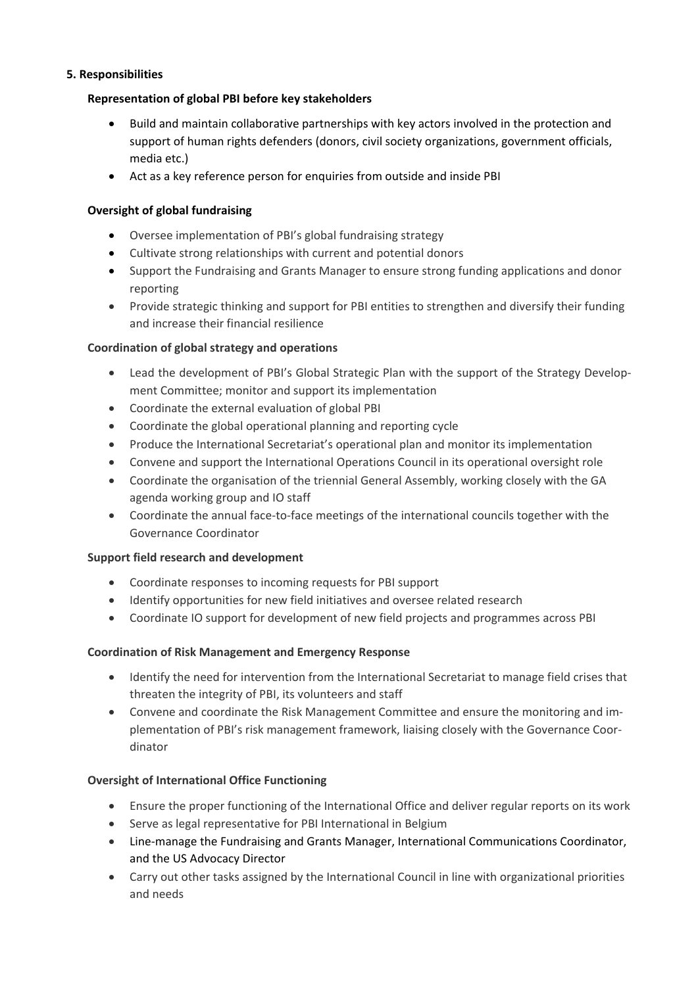## **5. Responsibilities**

# **Representation of global PBI before key stakeholders**

- Build and maintain collaborative partnerships with key actors involved in the protection and support of human rights defenders (donors, civil society organizations, government officials, media etc.)
- Act as a key reference person for enquiries from outside and inside PBI

# **Oversight of global fundraising**

- Oversee implementation of PBI's global fundraising strategy
- Cultivate strong relationships with current and potential donors
- Support the Fundraising and Grants Manager to ensure strong funding applications and donor reporting
- Provide strategic thinking and support for PBI entities to strengthen and diversify their funding and increase their financial resilience

## **Coordination of global strategy and operations**

- Lead the development of PBI's Global Strategic Plan with the support of the Strategy Development Committee; monitor and support its implementation
- Coordinate the external evaluation of global PBI
- Coordinate the global operational planning and reporting cycle
- Produce the International Secretariat's operational plan and monitor its implementation
- Convene and support the International Operations Council in its operational oversight role
- Coordinate the organisation of the triennial General Assembly, working closely with the GA agenda working group and IO staff
- Coordinate the annual face-to-face meetings of the international councils together with the Governance Coordinator

### **Support field research and development**

- Coordinate responses to incoming requests for PBI support
- Identify opportunities for new field initiatives and oversee related research
- Coordinate IO support for development of new field projects and programmes across PBI

# **Coordination of Risk Management and Emergency Response**

- Identify the need for intervention from the International Secretariat to manage field crises that threaten the integrity of PBI, its volunteers and staff
- Convene and coordinate the Risk Management Committee and ensure the monitoring and implementation of PBI's risk management framework, liaising closely with the Governance Coordinator

# **Oversight of International Office Functioning**

- Ensure the proper functioning of the International Office and deliver regular reports on its work
- Serve as legal representative for PBI International in Belgium
- Line-manage the Fundraising and Grants Manager, International Communications Coordinator, and the US Advocacy Director
- Carry out other tasks assigned by the International Council in line with organizational priorities and needs